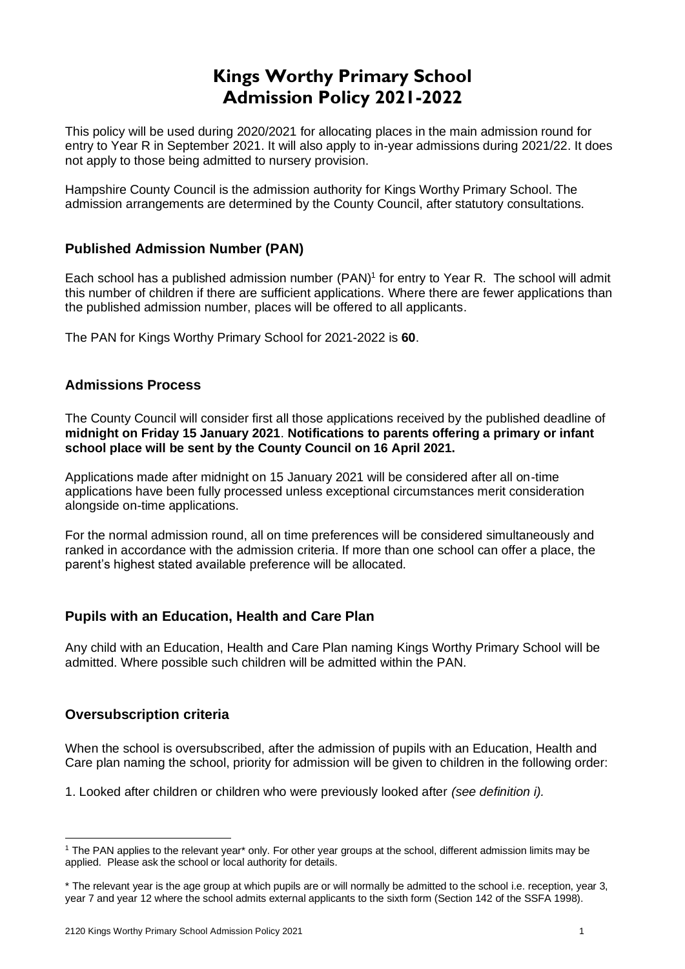# **Kings Worthy Primary School Admission Policy 2021-2022**

This policy will be used during 2020/2021 for allocating places in the main admission round for entry to Year R in September 2021. It will also apply to in-year admissions during 2021/22. It does not apply to those being admitted to nursery provision.

Hampshire County Council is the admission authority for Kings Worthy Primary School. The admission arrangements are determined by the County Council, after statutory consultations.

# **Published Admission Number (PAN)**

Each school has a published admission number (PAN)<sup>1</sup> for entry to Year R. The school will admit this number of children if there are sufficient applications. Where there are fewer applications than the published admission number, places will be offered to all applicants.

The PAN for Kings Worthy Primary School for 2021-2022 is **60**.

### **Admissions Process**

The County Council will consider first all those applications received by the published deadline of **midnight on Friday 15 January 2021**. **Notifications to parents offering a primary or infant school place will be sent by the County Council on 16 April 2021.**

Applications made after midnight on 15 January 2021 will be considered after all on-time applications have been fully processed unless exceptional circumstances merit consideration alongside on-time applications.

For the normal admission round, all on time preferences will be considered simultaneously and ranked in accordance with the admission criteria. If more than one school can offer a place, the parent's highest stated available preference will be allocated.

# **Pupils with an Education, Health and Care Plan**

Any child with an Education, Health and Care Plan naming Kings Worthy Primary School will be admitted. Where possible such children will be admitted within the PAN.

#### **Oversubscription criteria**

When the school is oversubscribed, after the admission of pupils with an Education, Health and Care plan naming the school, priority for admission will be given to children in the following order:

1. Looked after children or children who were previously looked after *(see definition i).* 

<sup>&</sup>lt;sup>1</sup> The PAN applies to the relevant year<sup>\*</sup> only. For other year groups at the school, different admission limits may be applied. Please ask the school or local authority for details.

<sup>\*</sup> The relevant year is the age group at which pupils are or will normally be admitted to the school i.e. reception, year 3, year 7 and year 12 where the school admits external applicants to the sixth form (Section 142 of the SSFA 1998).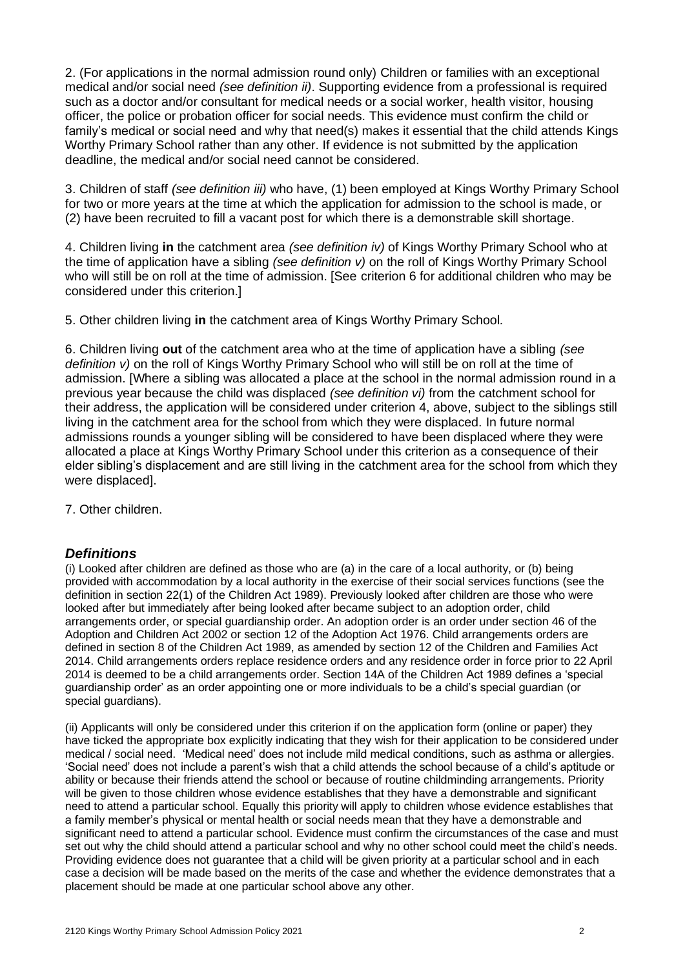2. (For applications in the normal admission round only) Children or families with an exceptional medical and/or social need *(see definition ii)*. Supporting evidence from a professional is required such as a doctor and/or consultant for medical needs or a social worker, health visitor, housing officer, the police or probation officer for social needs. This evidence must confirm the child or family's medical or social need and why that need(s) makes it essential that the child attends Kings Worthy Primary School rather than any other. If evidence is not submitted by the application deadline, the medical and/or social need cannot be considered.

3. Children of staff *(see definition iii)* who have, (1) been employed at Kings Worthy Primary School for two or more years at the time at which the application for admission to the school is made, or (2) have been recruited to fill a vacant post for which there is a demonstrable skill shortage.

4. Children living **in** the catchment area *(see definition iv)* of Kings Worthy Primary School who at the time of application have a sibling *(see definition v)* on the roll of Kings Worthy Primary School who will still be on roll at the time of admission. [See criterion 6 for additional children who may be considered under this criterion.]

5. Other children living **in** the catchment area of Kings Worthy Primary School*.*

6. Children living **out** of the catchment area who at the time of application have a sibling *(see definition v)* on the roll of Kings Worthy Primary School who will still be on roll at the time of admission. [Where a sibling was allocated a place at the school in the normal admission round in a previous year because the child was displaced *(see definition vi)* from the catchment school for their address, the application will be considered under criterion 4, above, subject to the siblings still living in the catchment area for the school from which they were displaced. In future normal admissions rounds a younger sibling will be considered to have been displaced where they were allocated a place at Kings Worthy Primary School under this criterion as a consequence of their elder sibling's displacement and are still living in the catchment area for the school from which they were displaced].

7. Other children.

#### *Definitions*

(i) Looked after children are defined as those who are (a) in the care of a local authority, or (b) being provided with accommodation by a local authority in the exercise of their social services functions (see the definition in section 22(1) of the Children Act 1989). Previously looked after children are those who were looked after but immediately after being looked after became subject to an adoption order, child arrangements order, or special guardianship order. An adoption order is an order under section 46 of the Adoption and Children Act 2002 or section 12 of the Adoption Act 1976. Child arrangements orders are defined in section 8 of the Children Act 1989, as amended by section 12 of the Children and Families Act 2014. Child arrangements orders replace residence orders and any residence order in force prior to 22 April 2014 is deemed to be a child arrangements order. Section 14A of the Children Act 1989 defines a 'special guardianship order' as an order appointing one or more individuals to be a child's special guardian (or special guardians).

(ii) Applicants will only be considered under this criterion if on the application form (online or paper) they have ticked the appropriate box explicitly indicating that they wish for their application to be considered under medical / social need. 'Medical need' does not include mild medical conditions, such as asthma or allergies. 'Social need' does not include a parent's wish that a child attends the school because of a child's aptitude or ability or because their friends attend the school or because of routine childminding arrangements. Priority will be given to those children whose evidence establishes that they have a demonstrable and significant need to attend a particular school. Equally this priority will apply to children whose evidence establishes that a family member's physical or mental health or social needs mean that they have a demonstrable and significant need to attend a particular school. Evidence must confirm the circumstances of the case and must set out why the child should attend a particular school and why no other school could meet the child's needs. Providing evidence does not guarantee that a child will be given priority at a particular school and in each case a decision will be made based on the merits of the case and whether the evidence demonstrates that a placement should be made at one particular school above any other.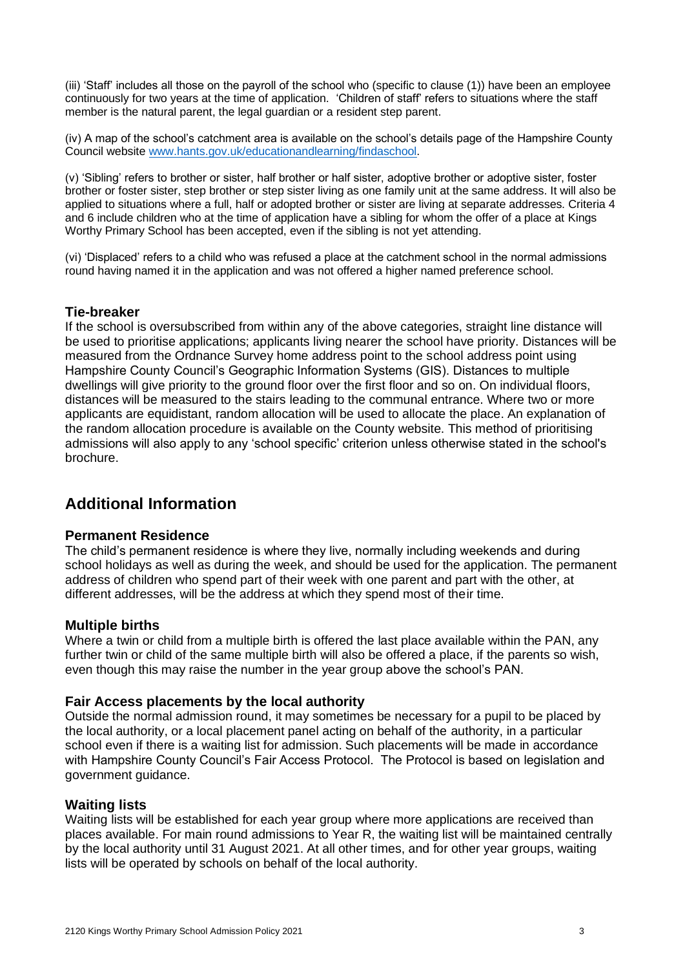(iii) 'Staff' includes all those on the payroll of the school who (specific to clause (1)) have been an employee continuously for two years at the time of application. 'Children of staff' refers to situations where the staff member is the natural parent, the legal guardian or a resident step parent.

(iv) A map of the school's catchment area is available on the school's details page of the Hampshire County Council website [www.hants.gov.uk/educationandlearning/findaschool.](http://www.hants.gov.uk/educationandlearning/findaschool)

(v) 'Sibling' refers to brother or sister, half brother or half sister, adoptive brother or adoptive sister, foster brother or foster sister, step brother or step sister living as one family unit at the same address. It will also be applied to situations where a full, half or adopted brother or sister are living at separate addresses. Criteria 4 and 6 include children who at the time of application have a sibling for whom the offer of a place at Kings Worthy Primary School has been accepted, even if the sibling is not yet attending.

(vi) 'Displaced' refers to a child who was refused a place at the catchment school in the normal admissions round having named it in the application and was not offered a higher named preference school.

#### **Tie-breaker**

If the school is oversubscribed from within any of the above categories, straight line distance will be used to prioritise applications; applicants living nearer the school have priority. Distances will be measured from the Ordnance Survey home address point to the school address point using Hampshire County Council's Geographic Information Systems (GIS). Distances to multiple dwellings will give priority to the ground floor over the first floor and so on. On individual floors, distances will be measured to the stairs leading to the communal entrance. Where two or more applicants are equidistant, random allocation will be used to allocate the place. An explanation of the random allocation procedure is available on the County website. This method of prioritising admissions will also apply to any 'school specific' criterion unless otherwise stated in the school's brochure.

# **Additional Information**

#### **Permanent Residence**

The child's permanent residence is where they live, normally including weekends and during school holidays as well as during the week, and should be used for the application. The permanent address of children who spend part of their week with one parent and part with the other, at different addresses, will be the address at which they spend most of their time.

#### **Multiple births**

Where a twin or child from a multiple birth is offered the last place available within the PAN, any further twin or child of the same multiple birth will also be offered a place, if the parents so wish, even though this may raise the number in the year group above the school's PAN.

#### **Fair Access placements by the local authority**

Outside the normal admission round, it may sometimes be necessary for a pupil to be placed by the local authority, or a local placement panel acting on behalf of the authority, in a particular school even if there is a waiting list for admission. Such placements will be made in accordance with Hampshire County Council's Fair Access Protocol. The Protocol is based on legislation and government guidance.

#### **Waiting lists**

Waiting lists will be established for each year group where more applications are received than places available. For main round admissions to Year R, the waiting list will be maintained centrally by the local authority until 31 August 2021. At all other times, and for other year groups, waiting lists will be operated by schools on behalf of the local authority.